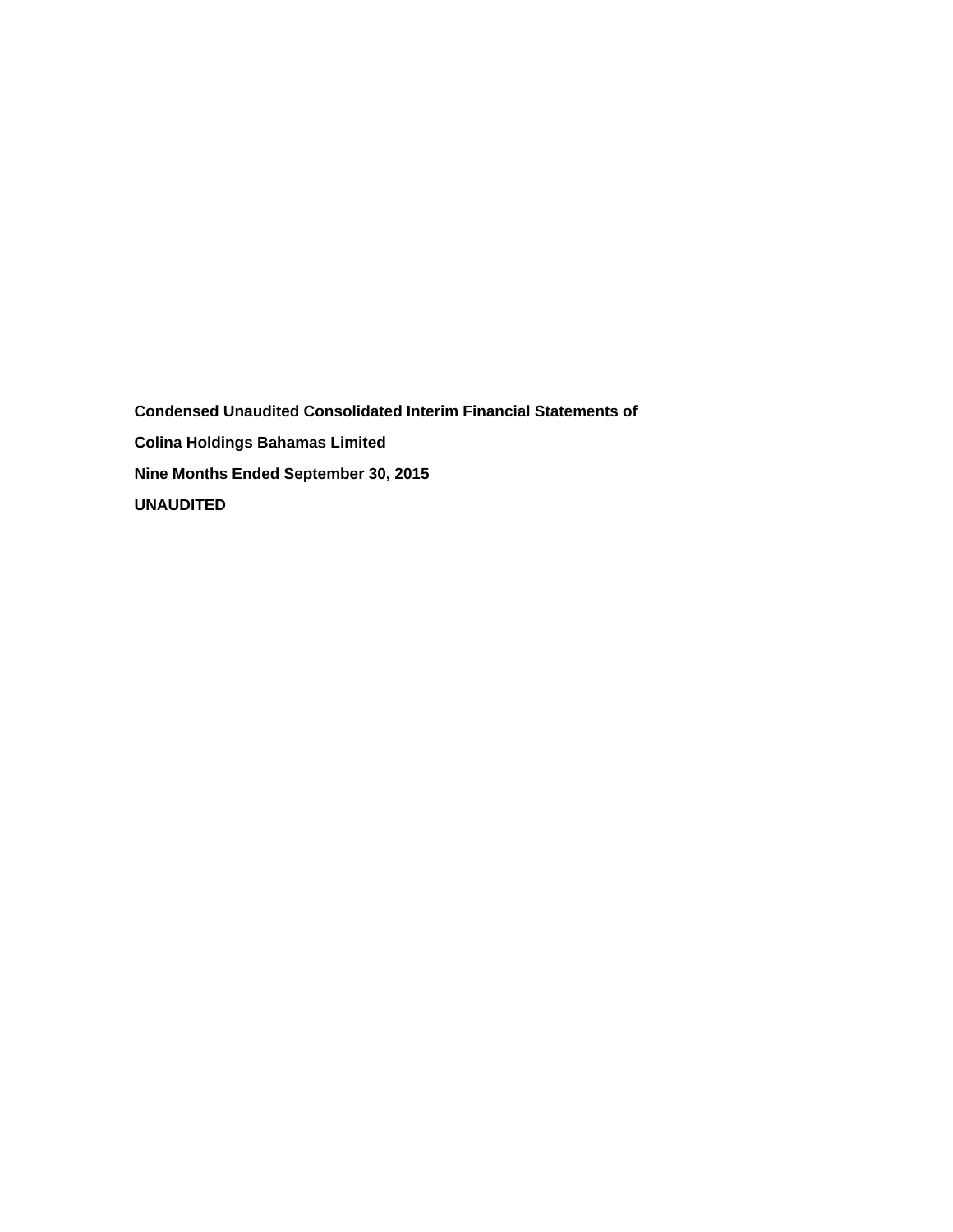**Condensed Unaudited Consolidated Interim Financial Statements of Colina Holdings Bahamas Limited Nine Months Ended September 30, 2015 UNAUDITED**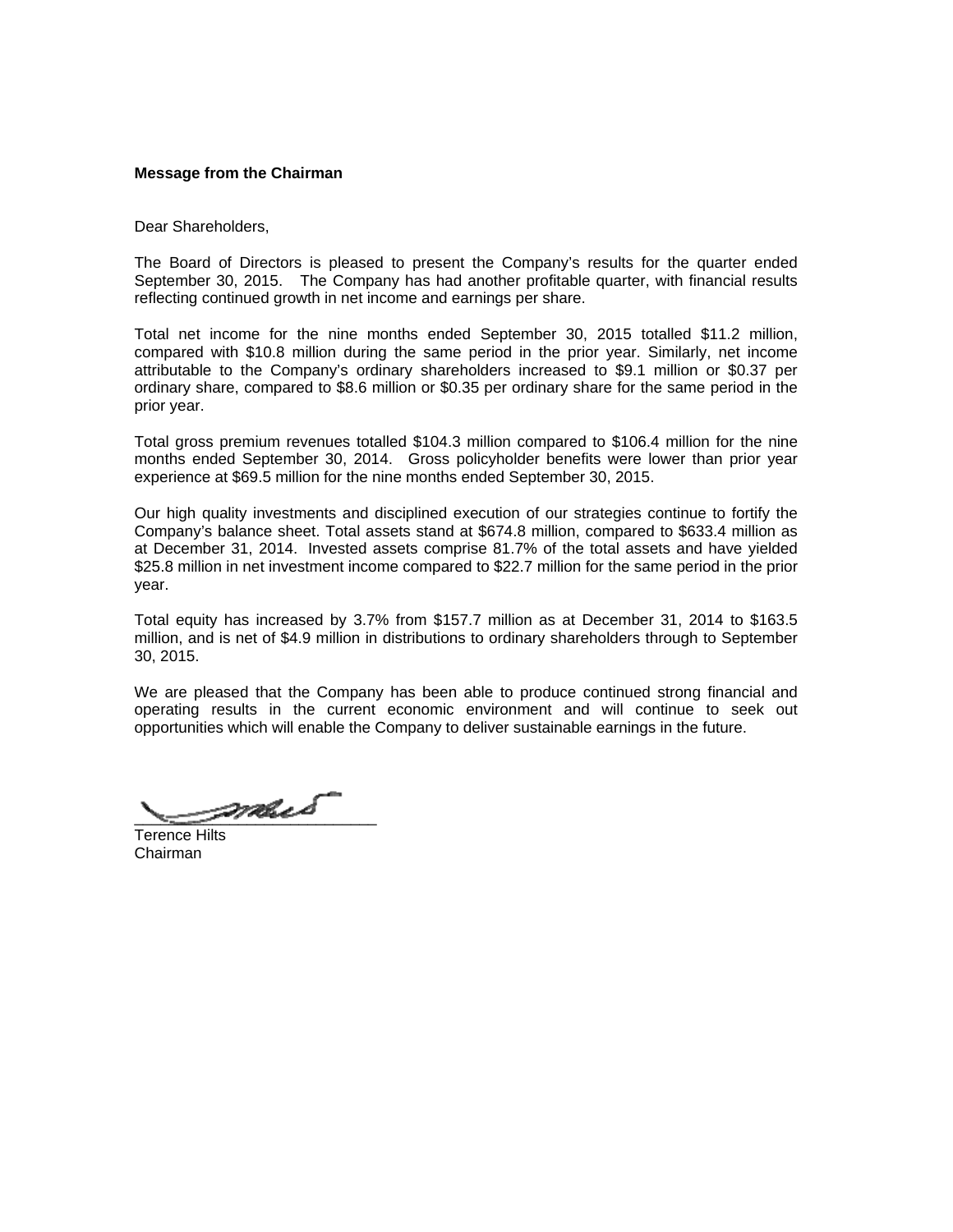### **Message from the Chairman**

Dear Shareholders,

The Board of Directors is pleased to present the Company's results for the quarter ended September 30, 2015. The Company has had another profitable quarter, with financial results reflecting continued growth in net income and earnings per share.

Total net income for the nine months ended September 30, 2015 totalled \$11.2 million, compared with \$10.8 million during the same period in the prior year. Similarly, net income attributable to the Company's ordinary shareholders increased to \$9.1 million or \$0.37 per ordinary share, compared to \$8.6 million or \$0.35 per ordinary share for the same period in the prior year.

Total gross premium revenues totalled \$104.3 million compared to \$106.4 million for the nine months ended September 30, 2014. Gross policyholder benefits were lower than prior year experience at \$69.5 million for the nine months ended September 30, 2015.

Our high quality investments and disciplined execution of our strategies continue to fortify the Company's balance sheet. Total assets stand at \$674.8 million, compared to \$633.4 million as at December 31, 2014. Invested assets comprise 81.7% of the total assets and have yielded \$25.8 million in net investment income compared to \$22.7 million for the same period in the prior year.

Total equity has increased by 3.7% from \$157.7 million as at December 31, 2014 to \$163.5 million, and is net of \$4.9 million in distributions to ordinary shareholders through to September 30, 2015.

We are pleased that the Company has been able to produce continued strong financial and operating results in the current economic environment and will continue to seek out opportunities which will enable the Company to deliver sustainable earnings in the future.

 $\rho$ mus

Terence Hilts Chairman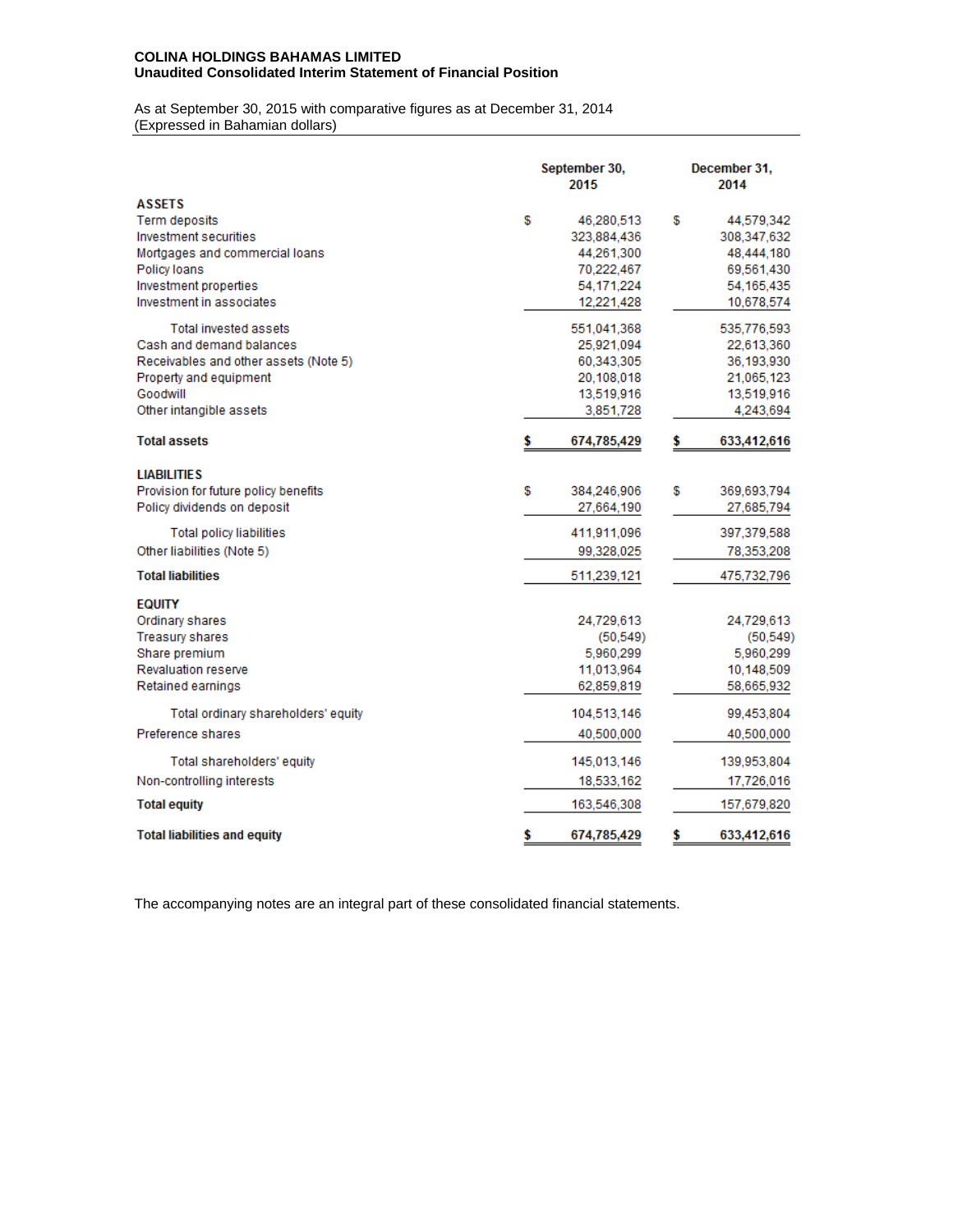### **COLINA HOLDINGS BAHAMAS LIMITED Unaudited Consolidated Interim Statement of Financial Position**

As at September 30, 2015 with comparative figures as at December 31, 2014 (Expressed in Bahamian dollars)

|                                                                                                                                                                | September 30,<br>2015                                                                   | December 31.<br>2014                                                                      |
|----------------------------------------------------------------------------------------------------------------------------------------------------------------|-----------------------------------------------------------------------------------------|-------------------------------------------------------------------------------------------|
| <b>ASSETS</b><br>Term deposits<br>Investment securities<br>Mortgages and commercial loans<br>Policy loans<br>Investment properties<br>Investment in associates | \$<br>46,280,513<br>323,884,436<br>44,261,300<br>70,222,467<br>54,171,224<br>12,221,428 | \$<br>44,579,342<br>308,347,632<br>48,444,180<br>69,561,430<br>54, 165, 435<br>10,678,574 |
| Total invested assets<br>Cash and demand balances<br>Receivables and other assets (Note 5)<br>Property and equipment<br>Goodwill<br>Other intangible assets    | 551,041,368<br>25,921,094<br>60,343,305<br>20,108,018<br>13,519,916<br>3,851,728        | 535,776,593<br>22,613,360<br>36,193,930<br>21,065,123<br>13,519,916<br>4,243,694          |
| <b>Total assets</b>                                                                                                                                            | \$<br>674,785,429                                                                       | \$<br>633,412,616                                                                         |
| <b>LIABILITIES</b><br>Provision for future policy benefits<br>Policy dividends on deposit<br><b>Total policy liabilities</b><br>Other liabilities (Note 5)     | \$<br>384,246,906<br>27,664,190<br>411,911,096<br>99,328,025                            | \$<br>369,693,794<br>27,685,794<br>397,379,588<br>78,353,208                              |
| <b>Total liabilities</b>                                                                                                                                       | 511,239,121                                                                             | 475,732,796                                                                               |
| <b>EQUITY</b><br>Ordinary shares<br><b>Treasury shares</b><br>Share premium<br><b>Revaluation reserve</b><br>Retained earnings                                 | 24,729,613<br>(50, 549)<br>5,960,299<br>11,013,964<br>62,859,819                        | 24,729,613<br>(50, 549)<br>5,960,299<br>10,148,509<br>58,665,932                          |
| Total ordinary shareholders' equity<br>Preference shares                                                                                                       | 104,513,146<br>40,500,000                                                               | 99,453,804<br>40,500,000                                                                  |
| Total shareholders' equity<br>Non-controlling interests                                                                                                        | 145,013,146<br>18,533,162                                                               | 139,953,804<br>17,726,016                                                                 |
| <b>Total equity</b>                                                                                                                                            | 163,546,308                                                                             | 157,679,820                                                                               |
| <b>Total liabilities and equity</b>                                                                                                                            | \$<br>674,785,429                                                                       | \$<br>633,412,616                                                                         |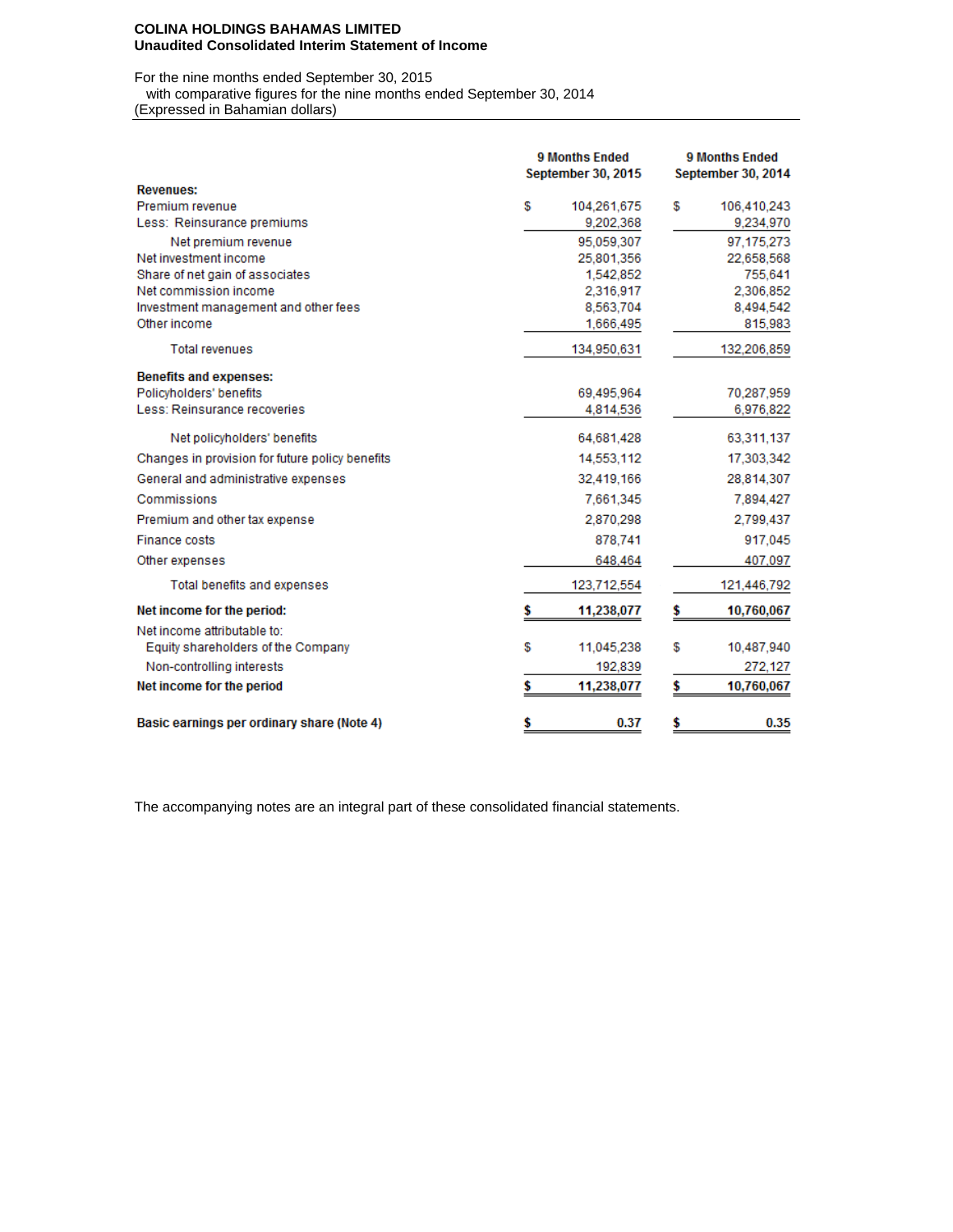### **COLINA HOLDINGS BAHAMAS LIMITED Unaudited Consolidated Interim Statement of Income**

For the nine months ended September 30, 2015

with comparative figures for the nine months ended September 30, 2014

(Expressed in Bahamian dollars)

|                                                 | <b>9 Months Ended</b><br><b>September 30, 2015</b> | <b>9 Months Ended</b><br><b>September 30, 2014</b> |  |  |  |
|-------------------------------------------------|----------------------------------------------------|----------------------------------------------------|--|--|--|
| <b>Revenues:</b>                                |                                                    |                                                    |  |  |  |
| Premium revenue                                 | S<br>104,261,675                                   | £<br>106,410,243                                   |  |  |  |
| Less: Reinsurance premiums                      | 9,202,368                                          | 9,234,970                                          |  |  |  |
| Net premium revenue                             | 95.059.307                                         | 97.175.273                                         |  |  |  |
| Net investment income                           | 25.801.356                                         | 22,658,568                                         |  |  |  |
| Share of net gain of associates                 | 1,542,852                                          | 755,641                                            |  |  |  |
| Net commission income                           | 2,316,917                                          | 2,306,852                                          |  |  |  |
| Investment management and other fees            | 8,563,704                                          | 8,494,542                                          |  |  |  |
| Other income                                    | 1,666,495                                          | 815,983                                            |  |  |  |
| <b>Total revenues</b>                           | 134,950,631                                        | 132,206,859                                        |  |  |  |
| <b>Benefits and expenses:</b>                   |                                                    |                                                    |  |  |  |
| Policyholders' benefits                         | 69.495.964                                         | 70,287,959                                         |  |  |  |
| Less: Reinsurance recoveries                    | 4,814,536                                          | 6,976,822                                          |  |  |  |
| Net policyholders' benefits                     | 64,681,428                                         | 63,311,137                                         |  |  |  |
| Changes in provision for future policy benefits | 14,553,112                                         | 17,303,342                                         |  |  |  |
| General and administrative expenses             | 32.419.166                                         | 28,814,307                                         |  |  |  |
| Commissions                                     | 7,661,345                                          | 7,894,427                                          |  |  |  |
| Premium and other tax expense                   | 2,870,298                                          | 2,799,437                                          |  |  |  |
| <b>Finance costs</b>                            | 878.741                                            | 917,045                                            |  |  |  |
| Other expenses                                  | 648,464                                            | 407,097                                            |  |  |  |
| Total benefits and expenses                     | 123,712,554                                        | 121,446,792                                        |  |  |  |
| Net income for the period:                      | 11,238,077                                         | 10,760,067                                         |  |  |  |
| Net income attributable to:                     |                                                    |                                                    |  |  |  |
| Equity shareholders of the Company              | S<br>11,045,238                                    | S<br>10,487,940                                    |  |  |  |
| Non-controlling interests                       | 192,839                                            | 272,127                                            |  |  |  |
| Net income for the period                       | 11,238,077                                         | \$<br>10,760,067                                   |  |  |  |
| Basic earnings per ordinary share (Note 4)      | \$<br>0.37                                         | \$<br>0.35                                         |  |  |  |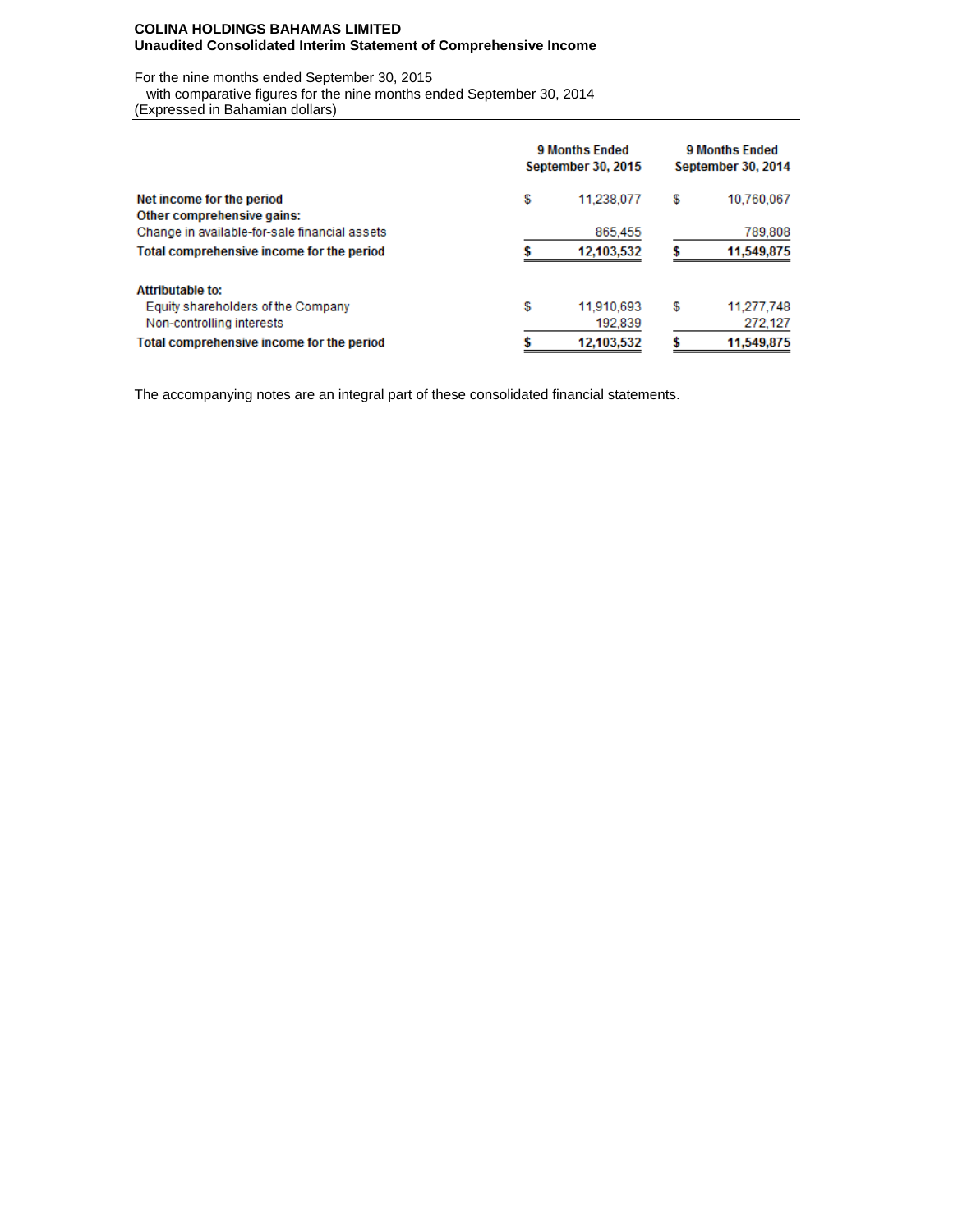### **COLINA HOLDINGS BAHAMAS LIMITED Unaudited Consolidated Interim Statement of Comprehensive Income**

For the nine months ended September 30, 2015

 with comparative figures for the nine months ended September 30, 2014 (Expressed in Bahamian dollars)

|                                               | 9 Months Ended<br><b>September 30, 2015</b> | <b>9 Months Ended</b><br><b>September 30, 2014</b> |            |  |  |
|-----------------------------------------------|---------------------------------------------|----------------------------------------------------|------------|--|--|
| Net income for the period                     | \$<br>11.238.077                            | \$                                                 | 10,760,067 |  |  |
| Other comprehensive gains:                    |                                             |                                                    |            |  |  |
| Change in available-for-sale financial assets | 865,455                                     |                                                    | 789,808    |  |  |
| Total comprehensive income for the period     | 12,103,532                                  |                                                    | 11,549,875 |  |  |
| <b>Attributable to:</b>                       |                                             |                                                    |            |  |  |
| Equity shareholders of the Company            | \$<br>11,910,693                            | \$                                                 | 11,277,748 |  |  |
| Non-controlling interests                     | 192,839                                     |                                                    | 272.127    |  |  |
| Total comprehensive income for the period     | 12,103,532                                  |                                                    | 11,549,875 |  |  |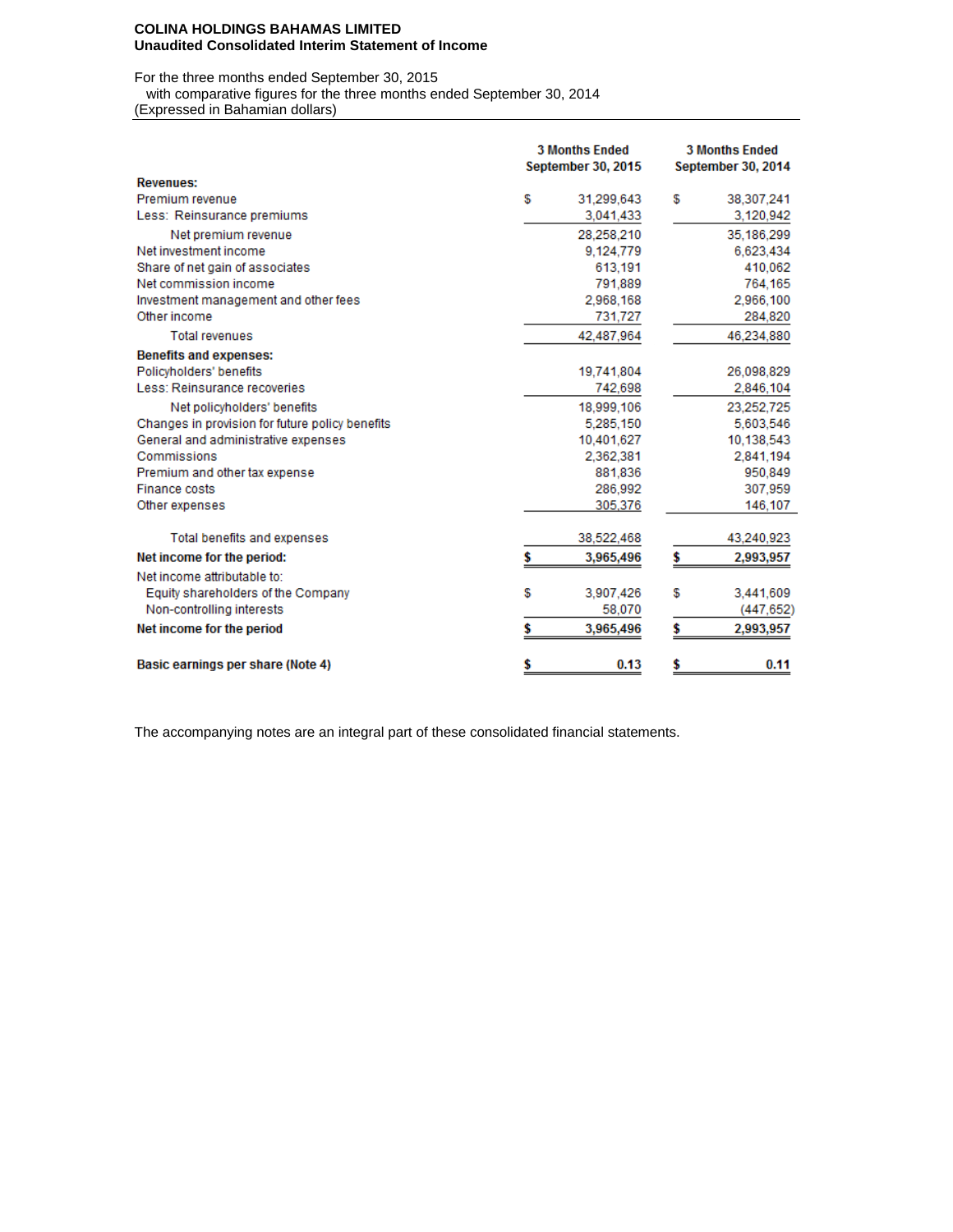#### **COLINA HOLDINGS BAHAMAS LIMITED Unaudited Consolidated Interim Statement of Income**

For the three months ended September 30, 2015

with comparative figures for the three months ended September 30, 2014

(Expressed in Bahamian dollars)

|                                                 | <b>3 Months Ended</b><br><b>September 30, 2015</b> |            | <b>3 Months Ended</b><br><b>September 30, 2014</b> |            |  |
|-------------------------------------------------|----------------------------------------------------|------------|----------------------------------------------------|------------|--|
| <b>Revenues:</b>                                |                                                    |            |                                                    |            |  |
| Premium revenue                                 | S                                                  | 31,299,643 | £                                                  | 38,307,241 |  |
| Less: Reinsurance premiums                      |                                                    | 3,041,433  |                                                    | 3,120,942  |  |
| Net premium revenue                             |                                                    | 28,258,210 |                                                    | 35,186,299 |  |
| Net investment income                           |                                                    | 9,124,779  |                                                    | 6,623,434  |  |
| Share of net gain of associates                 |                                                    | 613.191    |                                                    | 410,062    |  |
| Net commission income                           |                                                    | 791,889    |                                                    | 764,165    |  |
| Investment management and other fees            |                                                    | 2,968,168  |                                                    | 2,966,100  |  |
| Other income                                    |                                                    | 731,727    |                                                    | 284,820    |  |
| <b>Total revenues</b>                           |                                                    | 42,487,964 |                                                    | 46,234,880 |  |
| <b>Benefits and expenses:</b>                   |                                                    |            |                                                    |            |  |
| Policyholders' benefits                         |                                                    | 19,741,804 |                                                    | 26,098,829 |  |
| Less: Reinsurance recoveries                    |                                                    | 742,698    |                                                    | 2,846,104  |  |
| Net policyholders' benefits                     |                                                    | 18,999,106 |                                                    | 23,252,725 |  |
| Changes in provision for future policy benefits |                                                    | 5.285,150  |                                                    | 5.603.546  |  |
| General and administrative expenses             |                                                    | 10.401.627 |                                                    | 10,138,543 |  |
| Commissions                                     |                                                    | 2,362,381  |                                                    | 2,841,194  |  |
| Premium and other tax expense                   |                                                    | 881,836    |                                                    | 950,849    |  |
| <b>Finance costs</b>                            |                                                    | 286,992    |                                                    | 307,959    |  |
| Other expenses                                  |                                                    | 305,376    |                                                    | 146,107    |  |
| Total benefits and expenses                     |                                                    | 38,522,468 |                                                    | 43,240,923 |  |
| Net income for the period:                      | \$                                                 | 3,965,496  | \$                                                 | 2,993,957  |  |
| Net income attributable to:                     |                                                    |            |                                                    |            |  |
| Equity shareholders of the Company              | £                                                  | 3,907,426  | S                                                  | 3,441,609  |  |
| Non-controlling interests                       |                                                    | 58,070     |                                                    | (447,652)  |  |
| Net income for the period                       |                                                    | 3,965,496  | \$                                                 | 2,993,957  |  |
| Basic earnings per share (Note 4)               | \$                                                 | 0.13       | \$                                                 | 0.11       |  |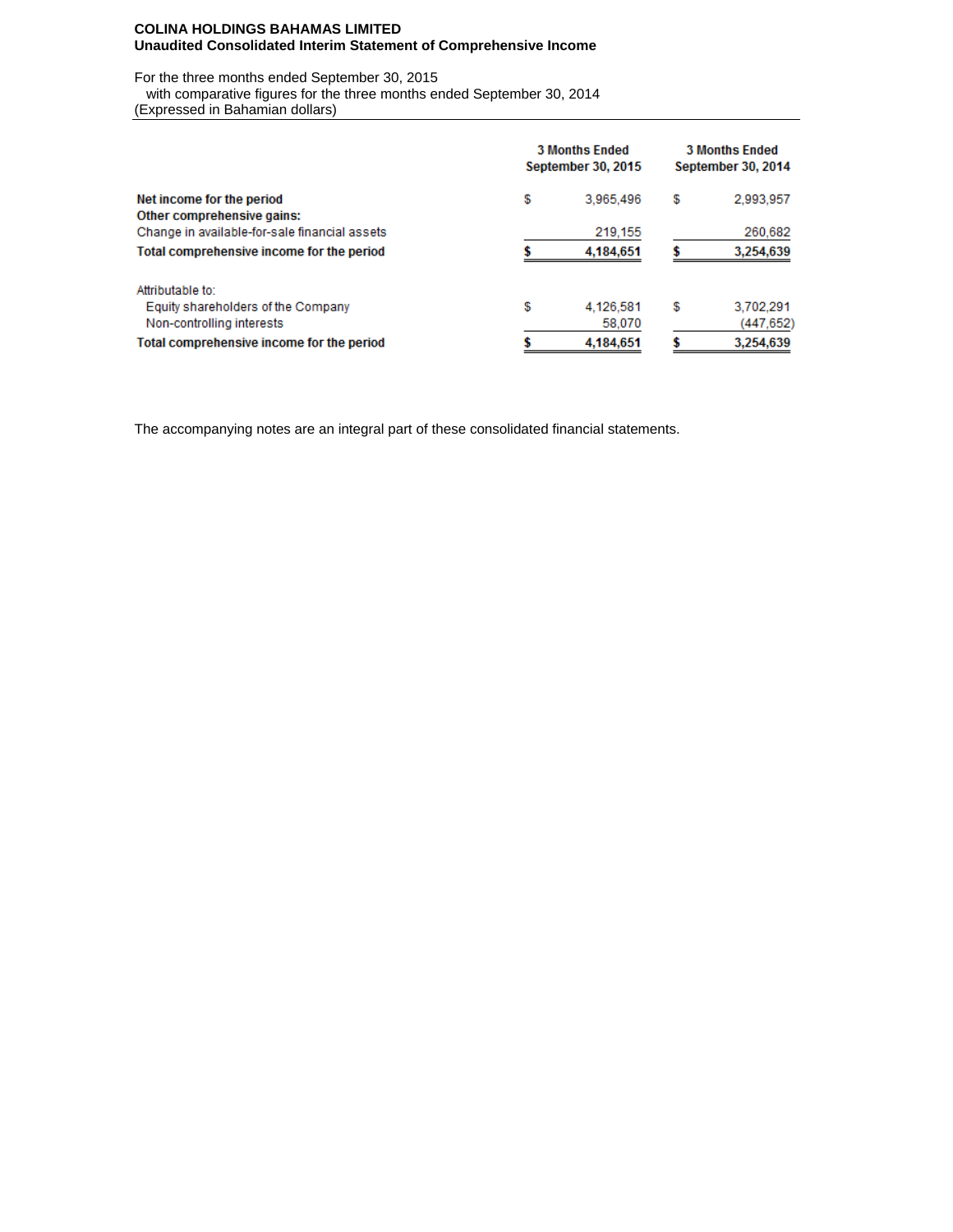### **COLINA HOLDINGS BAHAMAS LIMITED Unaudited Consolidated Interim Statement of Comprehensive Income**

For the three months ended September 30, 2015

 with comparative figures for the three months ended September 30, 2014 (Expressed in Bahamian dollars)

|                                                                             | <b>3 Months Ended</b><br><b>September 30, 2015</b> | <b>3 Months Ended</b><br>September 30, 2014 |    |           |
|-----------------------------------------------------------------------------|----------------------------------------------------|---------------------------------------------|----|-----------|
| Net income for the period                                                   | \$                                                 | 3.965.496                                   | \$ | 2,993,957 |
| Other comprehensive gains:<br>Change in available-for-sale financial assets |                                                    | 219,155                                     |    | 260,682   |
| Total comprehensive income for the period                                   |                                                    | 4,184,651                                   |    | 3,254,639 |
| Attributable to:                                                            |                                                    |                                             |    |           |
| Equity shareholders of the Company                                          | \$                                                 | 4,126,581                                   | \$ | 3,702,291 |
| Non-controlling interests                                                   |                                                    | 58,070                                      |    | (447,652) |
| Total comprehensive income for the period                                   |                                                    | 4,184,651                                   |    | 3,254,639 |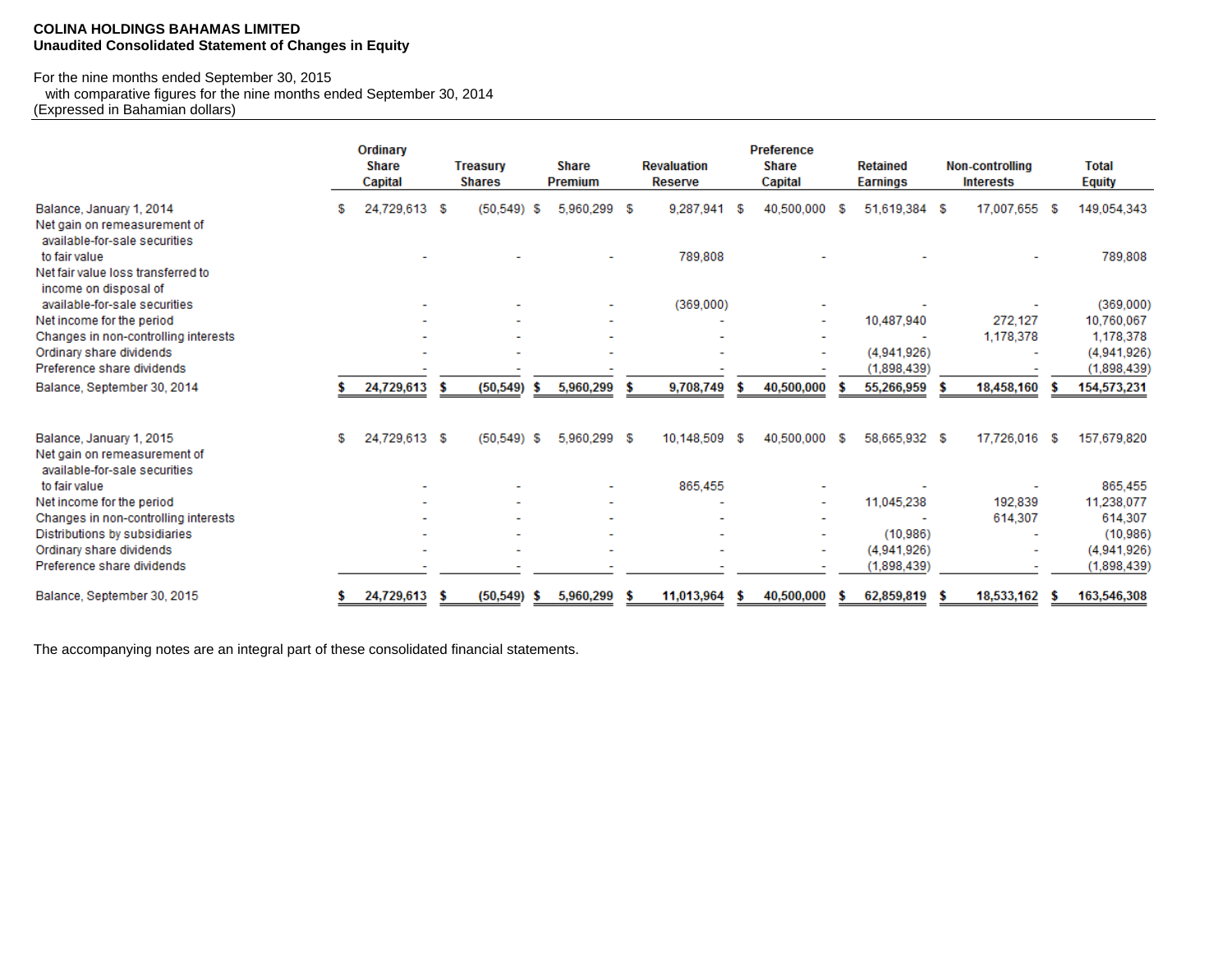### **COLINA HOLDINGS BAHAMAS LIMITED Unaudited Consolidated Statement of Changes in Equity**

#### For the nine months ended September 30, 2015

with comparative figures for the nine months ended September 30, 2014

(Expressed in Bahamian dollars)

|                                                                                           |   | Ordinary<br><b>Share</b><br>Capital |      | <b>Treasury</b><br><b>Shares</b> |   | <b>Share</b><br><b>Premium</b> | <b>Revaluation</b><br>Reserve |      | <b>Preference</b><br><b>Share</b><br>Capital |   | <b>Retained</b><br><b>Earnings</b> | <b>Non-controlling</b><br><b>Interests</b> |      | <b>Total</b><br><b>Equity</b> |
|-------------------------------------------------------------------------------------------|---|-------------------------------------|------|----------------------------------|---|--------------------------------|-------------------------------|------|----------------------------------------------|---|------------------------------------|--------------------------------------------|------|-------------------------------|
| Balance, January 1, 2014<br>Net gain on remeasurement of<br>available-for-sale securities | s | 24,729,613 \$                       |      | $(50.549)$ \$                    |   | 5,960,299 \$                   | 9,287,941                     | S    | 40,500,000                                   | S | 51,619,384 \$                      | 17,007,655                                 | - 56 | 149,054,343                   |
| to fair value<br>Net fair value loss transferred to<br>income on disposal of              |   |                                     |      |                                  |   |                                | 789,808                       |      |                                              |   |                                    |                                            |      | 789,808                       |
| available-for-sale securities                                                             |   |                                     |      |                                  |   | ۰                              | (369,000)                     |      |                                              |   |                                    |                                            |      | (369,000)                     |
| Net income for the period                                                                 |   |                                     |      |                                  |   |                                |                               |      | ۰                                            |   | 10,487,940                         | 272.127                                    |      | 10,760,067                    |
| Changes in non-controlling interests                                                      |   |                                     |      |                                  |   |                                |                               |      |                                              |   |                                    | 1,178,378                                  |      | 1,178,378                     |
| Ordinary share dividends                                                                  |   |                                     |      |                                  |   |                                |                               |      | ۰                                            |   | (4.941.926)                        |                                            |      | (4,941,926)                   |
| Preference share dividends                                                                |   |                                     |      |                                  |   |                                |                               |      |                                              |   | (1,898,439)                        |                                            |      | (1,898,439)                   |
| Balance, September 30, 2014                                                               |   | 24,729,613                          | - \$ | (50, 549)                        |   | 5,960,299                      | 9,708,749                     |      | 40,500,000                                   |   | 55,266,959                         | 18,458,160                                 |      | 154,573,231                   |
| Balance, January 1, 2015<br>Net gain on remeasurement of<br>available-for-sale securities | S | 24.729.613 \$                       |      | $(50.549)$ \$                    |   | 5.960.299 \$                   | 10.148.509                    | - SS | 40.500.000 \$                                |   | 58.665.932 \$                      | 17.726.016 \$                              |      | 157.679.820                   |
| to fair value                                                                             |   |                                     |      |                                  |   |                                | 865,455                       |      |                                              |   |                                    |                                            |      | 865,455                       |
| Net income for the period                                                                 |   |                                     |      |                                  |   | ۰                              |                               |      | ٠                                            |   | 11,045,238                         | 192,839                                    |      | 11,238,077                    |
| Changes in non-controlling interests                                                      |   |                                     |      |                                  |   | ۰                              |                               |      | ۰                                            |   |                                    | 614,307                                    |      | 614,307                       |
| Distributions by subsidiaries                                                             |   |                                     |      |                                  |   | $\overline{\phantom{0}}$       |                               |      |                                              |   | (10.986)                           |                                            |      | (10, 986)                     |
| Ordinary share dividends                                                                  |   |                                     |      |                                  |   |                                |                               |      | ٠                                            |   | (4.941.926)                        |                                            |      | (4,941,926)                   |
| Preference share dividends                                                                |   |                                     |      |                                  |   |                                |                               |      |                                              |   | (1,898,439)                        |                                            |      | (1,898,439)                   |
| Balance, September 30, 2015                                                               |   | 24,729,613                          | S    | (50, 549)                        | s | 5.960.299                      | 11,013,964                    |      | 40.500.000                                   |   | 62.859.819                         | 18,533,162                                 |      | 163.546.308                   |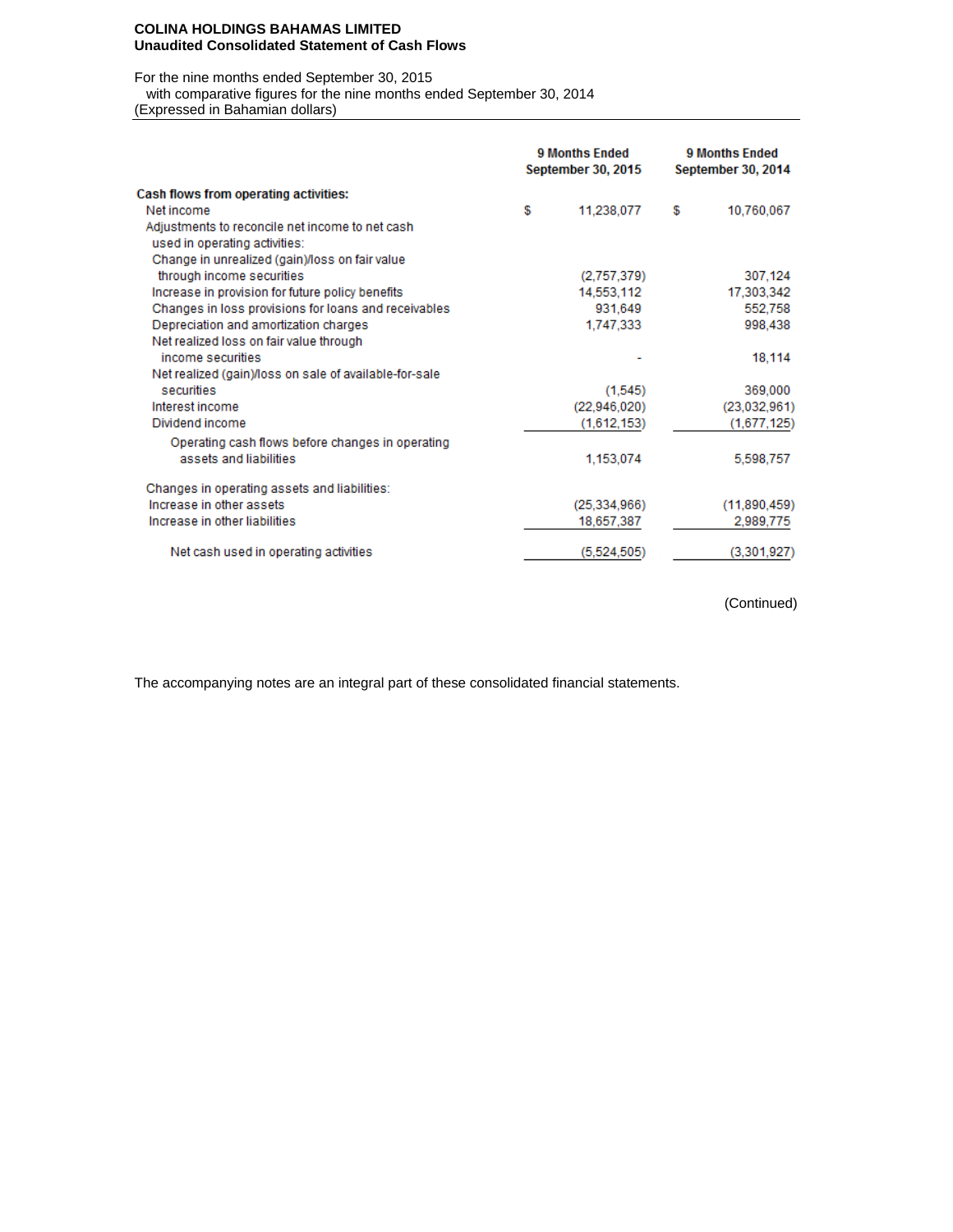#### **COLINA HOLDINGS BAHAMAS LIMITED Unaudited Consolidated Statement of Cash Flows**

For the nine months ended September 30, 2015

with comparative figures for the nine months ended September 30, 2014

(Expressed in Bahamian dollars)

|                                                        | <b>9 Months Ended</b><br><b>September 30, 2015</b> | 9 Months Ended<br>September 30, 2014 |              |  |
|--------------------------------------------------------|----------------------------------------------------|--------------------------------------|--------------|--|
| Cash flows from operating activities:                  |                                                    |                                      |              |  |
| Net income                                             | \$<br>11,238,077                                   | S                                    | 10,760,067   |  |
| Adjustments to reconcile net income to net cash        |                                                    |                                      |              |  |
| used in operating activities:                          |                                                    |                                      |              |  |
| Change in unrealized (gain)/loss on fair value         |                                                    |                                      |              |  |
| through income securities                              | (2,757,379)                                        |                                      | 307,124      |  |
| Increase in provision for future policy benefits       | 14,553,112                                         |                                      | 17,303,342   |  |
| Changes in loss provisions for loans and receivables   | 931.649                                            |                                      | 552,758      |  |
| Depreciation and amortization charges                  | 1,747,333                                          |                                      | 998,438      |  |
| Net realized loss on fair value through                |                                                    |                                      |              |  |
| income securities                                      |                                                    |                                      | 18,114       |  |
| Net realized (gain)/loss on sale of available-for-sale |                                                    |                                      |              |  |
| securities                                             | (1.545)                                            |                                      | 369,000      |  |
| Interest income                                        | (22,946,020)                                       |                                      | (23,032,961) |  |
| Dividend income                                        | (1,612,153)                                        |                                      | (1,677,125)  |  |
| Operating cash flows before changes in operating       |                                                    |                                      |              |  |
| assets and liabilities.                                | 1,153,074                                          |                                      | 5,598,757    |  |
| Changes in operating assets and liabilities:           |                                                    |                                      |              |  |
| Increase in other assets                               | (25, 334, 966)                                     |                                      | (11,890,459) |  |
| Increase in other liabilities                          | 18,657,387                                         |                                      | 2,989,775    |  |
| Net cash used in operating activities                  | (5,524,505)                                        |                                      | (3,301,927)  |  |

(Continued)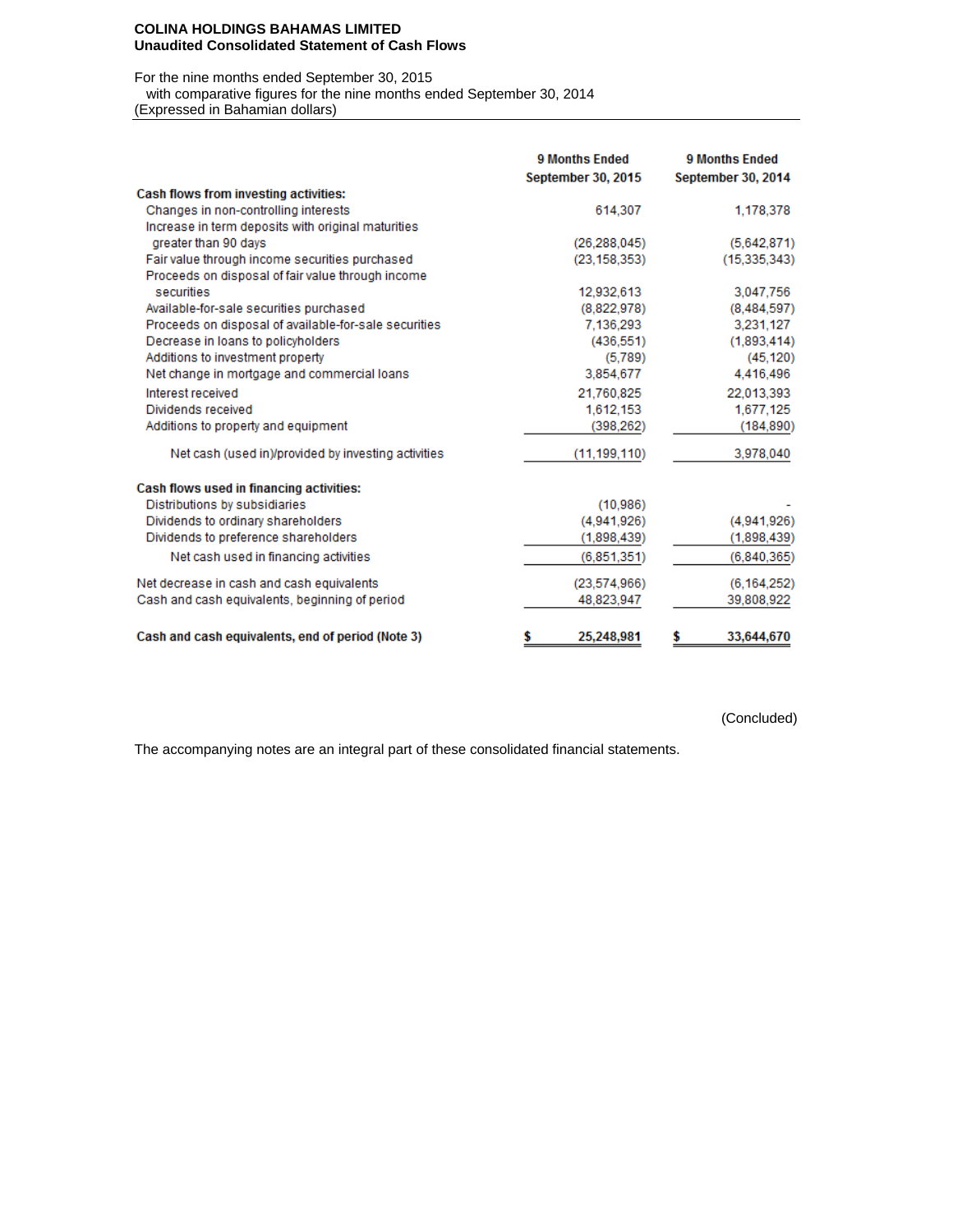#### **COLINA HOLDINGS BAHAMAS LIMITED Unaudited Consolidated Statement of Cash Flows**

For the nine months ended September 30, 2015

with comparative figures for the nine months ended September 30, 2014

(Expressed in Bahamian dollars)

|                                                       | <b>9 Months Ended</b><br><b>September 30, 2015</b> | <b>9 Months Ended</b><br>September 30, 2014 |
|-------------------------------------------------------|----------------------------------------------------|---------------------------------------------|
| <b>Cash flows from investing activities:</b>          |                                                    |                                             |
| Changes in non-controlling interests                  | 614,307                                            | 1,178,378                                   |
| Increase in term deposits with original maturities    |                                                    |                                             |
| greater than 90 days                                  | (26.288.045)                                       | (5,642,871)                                 |
| Fair value through income securities purchased        | (23, 158, 353)                                     | (15, 335, 343)                              |
| Proceeds on disposal of fair value through income     |                                                    |                                             |
| securities                                            | 12,932,613                                         | 3,047,756                                   |
| Available-for-sale securities purchased               | (8,822,978)                                        | (8,484,597)                                 |
| Proceeds on disposal of available-for-sale securities | 7,136,293                                          | 3,231,127                                   |
| Decrease in loans to policyholders                    | (436, 551)                                         | (1,893,414)                                 |
| Additions to investment property                      | (5.789)                                            | (45, 120)                                   |
| Net change in mortgage and commercial loans           | 3,854,677                                          | 4,416,496                                   |
| Interest received                                     | 21.760.825                                         | 22.013.393                                  |
| Dividends received                                    | 1,612,153                                          | 1,677,125                                   |
| Additions to property and equipment                   | (398, 262)                                         | (184, 890)                                  |
| Net cash (used in)/provided by investing activities   | (11, 199, 110)                                     | 3,978,040                                   |
| Cash flows used in financing activities:              |                                                    |                                             |
| Distributions by subsidiaries                         | (10, 986)                                          |                                             |
| Dividends to ordinary shareholders                    | (4,941,926)                                        | (4,941,926)                                 |
| Dividends to preference shareholders                  | (1,898,439)                                        | (1,898,439)                                 |
| Net cash used in financing activities                 | (6,851,351)                                        | (6,840,365)                                 |
| Net decrease in cash and cash equivalents             | (23,574,966)                                       | (6, 164, 252)                               |
| Cash and cash equivalents, beginning of period        | 48,823,947                                         | 39,808,922                                  |
| Cash and cash equivalents, end of period (Note 3)     | \$<br>25,248,981                                   | 33,644,670<br>\$                            |

(Concluded)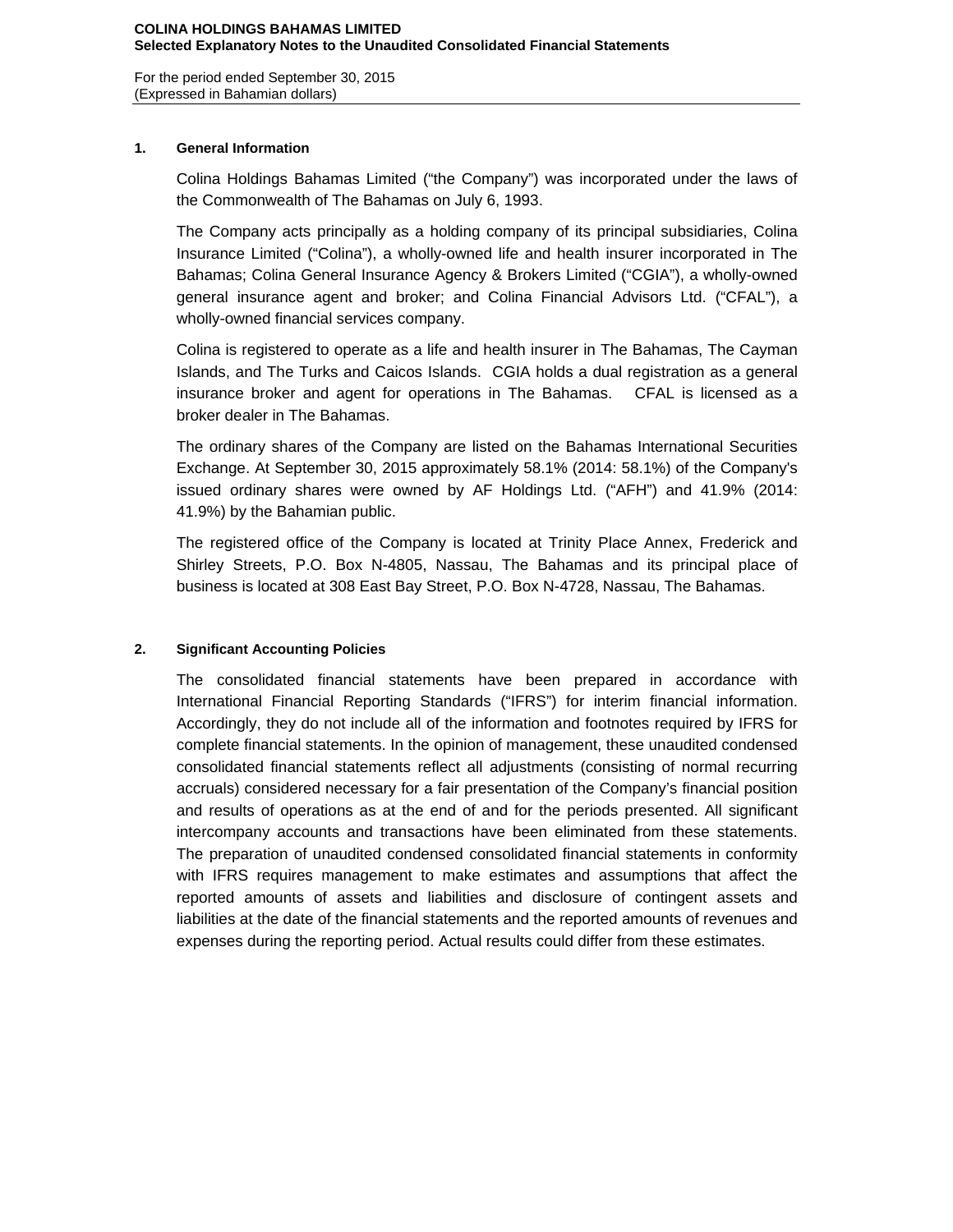For the period ended September 30, 2015 (Expressed in Bahamian dollars)

## **1. General Information**

Colina Holdings Bahamas Limited ("the Company") was incorporated under the laws of the Commonwealth of The Bahamas on July 6, 1993.

The Company acts principally as a holding company of its principal subsidiaries, Colina Insurance Limited ("Colina"), a wholly-owned life and health insurer incorporated in The Bahamas; Colina General Insurance Agency & Brokers Limited ("CGIA"), a wholly-owned general insurance agent and broker; and Colina Financial Advisors Ltd. ("CFAL"), a wholly-owned financial services company.

Colina is registered to operate as a life and health insurer in The Bahamas, The Cayman Islands, and The Turks and Caicos Islands. CGIA holds a dual registration as a general insurance broker and agent for operations in The Bahamas. CFAL is licensed as a broker dealer in The Bahamas.

The ordinary shares of the Company are listed on the Bahamas International Securities Exchange. At September 30, 2015 approximately 58.1% (2014: 58.1%) of the Company's issued ordinary shares were owned by AF Holdings Ltd. ("AFH") and 41.9% (2014: 41.9%) by the Bahamian public.

The registered office of the Company is located at Trinity Place Annex, Frederick and Shirley Streets, P.O. Box N-4805, Nassau, The Bahamas and its principal place of business is located at 308 East Bay Street, P.O. Box N-4728, Nassau, The Bahamas.

# **2. Significant Accounting Policies**

The consolidated financial statements have been prepared in accordance with International Financial Reporting Standards ("IFRS") for interim financial information. Accordingly, they do not include all of the information and footnotes required by IFRS for complete financial statements. In the opinion of management, these unaudited condensed consolidated financial statements reflect all adjustments (consisting of normal recurring accruals) considered necessary for a fair presentation of the Company's financial position and results of operations as at the end of and for the periods presented. All significant intercompany accounts and transactions have been eliminated from these statements. The preparation of unaudited condensed consolidated financial statements in conformity with IFRS requires management to make estimates and assumptions that affect the reported amounts of assets and liabilities and disclosure of contingent assets and liabilities at the date of the financial statements and the reported amounts of revenues and expenses during the reporting period. Actual results could differ from these estimates.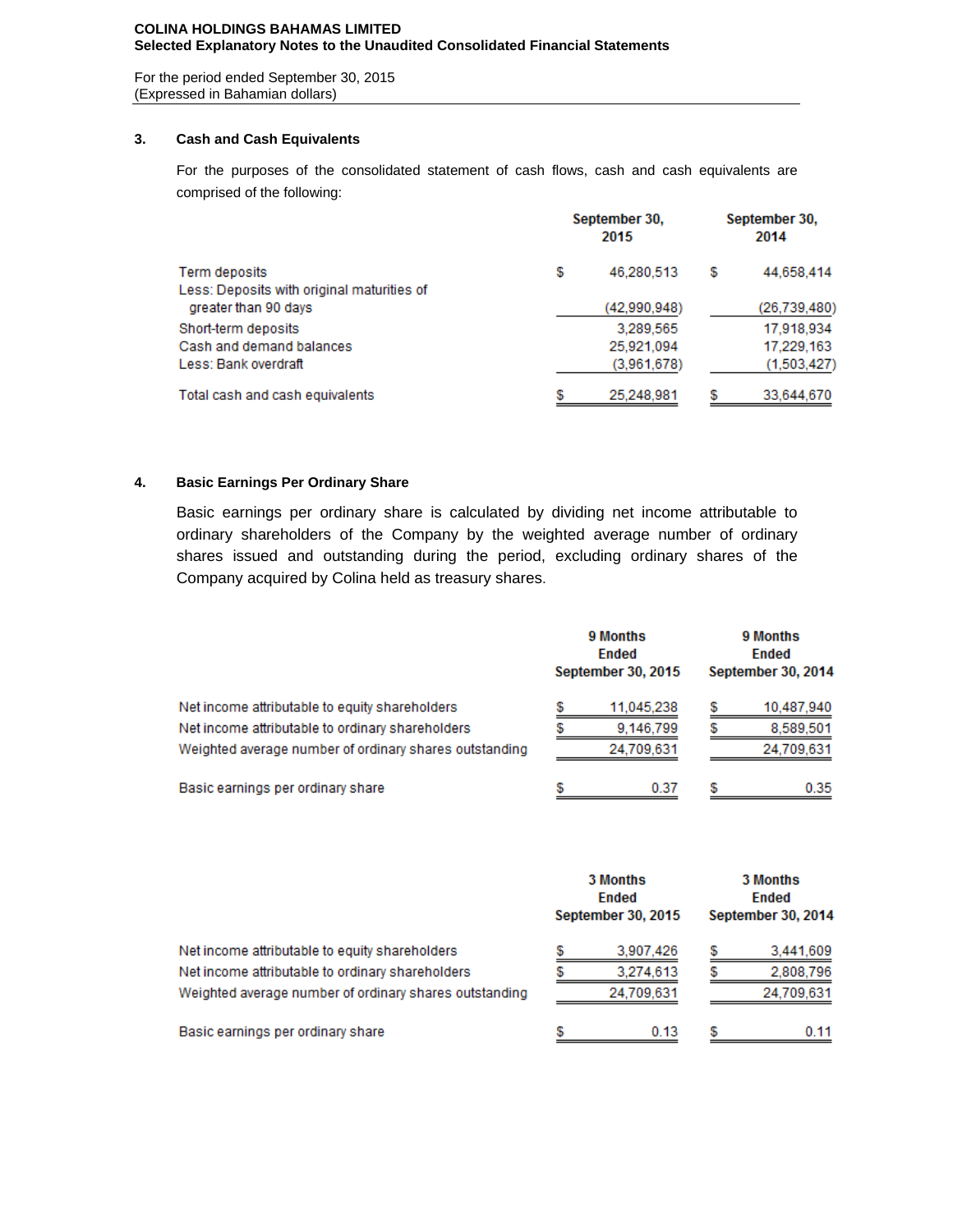### **COLINA HOLDINGS BAHAMAS LIMITED Selected Explanatory Notes to the Unaudited Consolidated Financial Statements**

For the period ended September 30, 2015 (Expressed in Bahamian dollars)

## **3. Cash and Cash Equivalents**

For the purposes of the consolidated statement of cash flows, cash and cash equivalents are comprised of the following:

|                                            | September 30,<br>2015 | September 30,<br>2014 |                |  |
|--------------------------------------------|-----------------------|-----------------------|----------------|--|
| Term deposits                              | \$<br>46.280.513      | S                     | 44.658.414     |  |
| Less: Deposits with original maturities of |                       |                       |                |  |
| greater than 90 days                       | (42,990,948)          |                       | (26, 739, 480) |  |
| Short-term deposits                        | 3.289.565             |                       | 17.918.934     |  |
| Cash and demand balances                   | 25,921,094            |                       | 17,229,163     |  |
| Less: Bank overdraft                       | (3,961,678)           |                       | (1,503,427)    |  |
| Total cash and cash equivalents            | 25.248.981            |                       | 33,644,670     |  |

# **4. Basic Earnings Per Ordinary Share**

Basic earnings per ordinary share is calculated by dividing net income attributable to ordinary shareholders of the Company by the weighted average number of ordinary shares issued and outstanding during the period, excluding ordinary shares of the Company acquired by Colina held as treasury shares.

|                                                        |  | 9 Months<br><b>Ended</b><br><b>September 30, 2015</b> | 9 Months<br><b>Ended</b><br>September 30, 2014 |            |  |  |
|--------------------------------------------------------|--|-------------------------------------------------------|------------------------------------------------|------------|--|--|
| Net income attributable to equity shareholders         |  | 11.045.238                                            |                                                | 10,487,940 |  |  |
| Net income attributable to ordinary shareholders       |  | 9.146.799                                             |                                                | 8.589.501  |  |  |
| Weighted average number of ordinary shares outstanding |  | 24,709,631                                            |                                                | 24,709,631 |  |  |
| Basic earnings per ordinary share                      |  | 0.37                                                  | S                                              | 0.35       |  |  |

|                                                        |  | 3 Months<br><b>Ended</b><br><b>September 30, 2015</b> | 3 Months<br>Ended<br>September 30, 2014 |            |  |  |
|--------------------------------------------------------|--|-------------------------------------------------------|-----------------------------------------|------------|--|--|
| Net income attributable to equity shareholders         |  | 3,907,426                                             |                                         | 3,441,609  |  |  |
| Net income attributable to ordinary shareholders       |  | 3,274,613                                             |                                         | 2.808.796  |  |  |
| Weighted average number of ordinary shares outstanding |  | 24,709,631                                            |                                         | 24,709,631 |  |  |
| Basic earnings per ordinary share                      |  | 0.13                                                  |                                         | 0.11       |  |  |